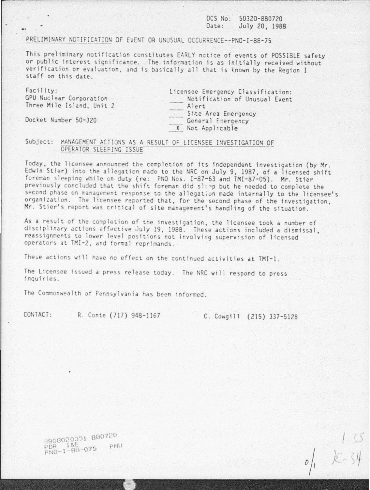OCS No: 50320-880720 Date: July 20, 1988

## PRELIMINARY NOTIFICATION OF EVENT OR UNUSUAL OCCURRENCE--PNO-I-88-75

This preliminary notification constitutes EARLY notice of events of POSSIBLE safety or public interest significance. The information is as initially received without verification or evaluation, and is basically all that is known by the Region I staff on this date.

Facility: GPU Nuclear Corporation Three Mile Island, Unit *2* 

Licensee Emergency Classification: Notification of Unusual Event Alert Site Area Emergency General Emergency X Not Appl1cable

Docket Number 50-320

## Subject : ~A~ftGEM ENT CT!J~S AS A RESULT OF LICE~SEE I~VEST!GATION OF OPER~Toq Slf.t~!NG ISSUE - - - -- -- - -- -

Today, the licensee announced the completion of its independent investigation (by Mr. Edwin Stier) into the allegation made to the NRC on July 9, 1987, of a licensed shift foreman sleeping while on duty (re: PNO Nos. I-87-63 and TMI-87-05). Mr. Stier previously concluded that the shift foreman did sleep but he needed to complete the second phase on management response to the allegation made internally to the licensee's organization. The licensee reported that, for the second phase of the investigation, Mr. Stier's report was critical of site management's handling of the situation.

As a result of the completion of the investigation, the licensee took a number of disciplinary actions effective July 19, 1988. These actions included a dismissal, reassignments to lower level positions not involving supervision of licensed operators at TMI-2, and formal reprimands.

These actions will have no effect on the continued activities at TMI-1.

The Licensee issued a press release today. The NRC will respond to press inquiries.

The Commonwealth of Pennsylvania has been informed.

CONTACT: R. Conte (717) 948-1167 C. Cowgill (215) 337-5128

 $\int_{1}^{1}$   $k=34$ 

000020351 880720<br>PDR 185-075 PNU PDR 1&E<br>PND-1-88-075